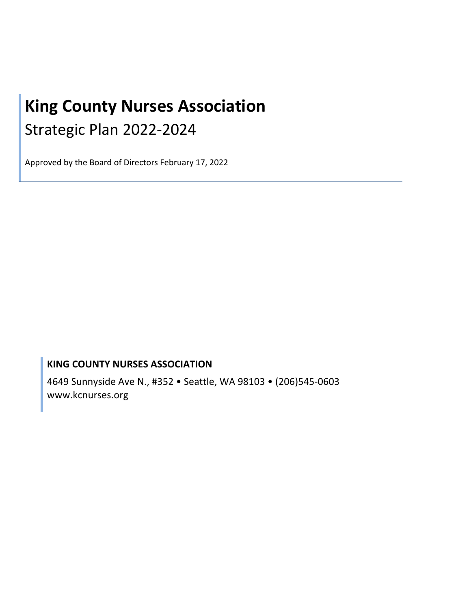# **King County Nurses Association** Strategic Plan 2022-2024

Approved by the Board of Directors February 17, 2022

# **KING COUNTY NURSES ASSOCIATION**

4649 Sunnyside Ave N., #352 • Seattle, WA 98103 • (206)545-0603 www.kcnurses.org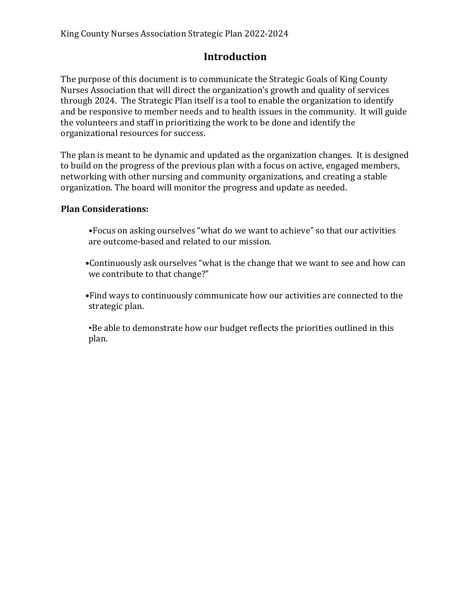# **Introduction**

The purpose of this document is to communicate the Strategic Goals of King County Nurses Association that will direct the organization's growth and quality of services through 2024. The Strategic Plan itself is a tool to enable the organization to identify and be responsive to member needs and to health issues in the community. It will guide the volunteers and staff in prioritizing the work to be done and identify the organizational resources for success.

The plan is meant to be dynamic and updated as the organization changes. It is designed to build on the progress of the previous plan with a focus on active, engaged members, networking with other nursing and community organizations, and creating a stable organization. The board will monitor the progress and update as needed.

#### **Plan Considerations:**

- •Focus on asking ourselves "what do we want to achieve" so that our activities are outcome-based and related to our mission.
- •Continuously ask ourselves "what is the change that we want to see and how can we contribute to that change?"
- •Find ways to continuously communicate how our activities are connected to the strategic plan.

•Be able to demonstrate how our budget reflects the priorities outlined in this plan.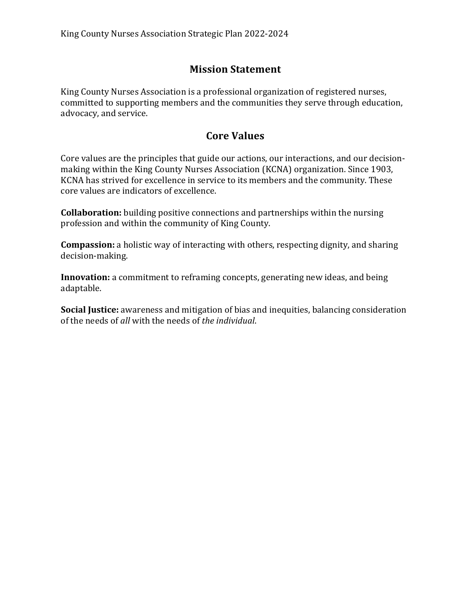# **Mission Statement**

King County Nurses Association is a professional organization of registered nurses, committed to supporting members and the communities they serve through education, advocacy, and service.

## **Core Values**

Core values are the principles that guide our actions, our interactions, and our decisionmaking within the King County Nurses Association (KCNA) organization. Since 1903, KCNA has strived for excellence in service to its members and the community. These core values are indicators of excellence.

**Collaboration:** building positive connections and partnerships within the nursing profession and within the community of King County.

**Compassion:** a holistic way of interacting with others, respecting dignity, and sharing decision-making.

**Innovation:** a commitment to reframing concepts, generating new ideas, and being adaptable.

**Social Justice:** awareness and mitigation of bias and inequities, balancing consideration of the needs of all with the needs of the *individual*.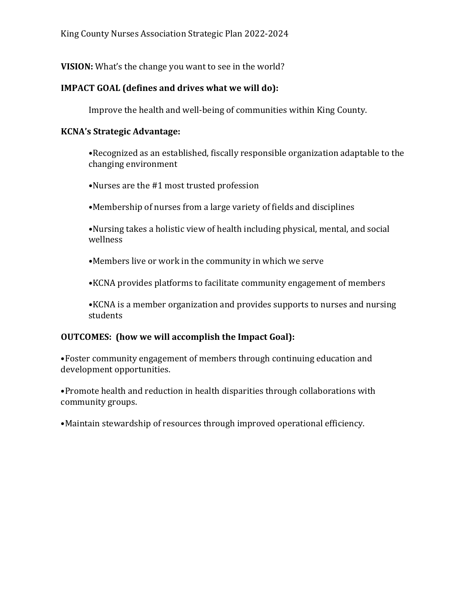**VISION:** What's the change you want to see in the world?

### **IMPACT GOAL** (defines and drives what we will do):

Improve the health and well-being of communities within King County.

#### **KCNA's Strategic Advantage:**

•Recognized as an established, fiscally responsible organization adaptable to the changing environment

•Nurses are the #1 most trusted profession

•Membership of nurses from a large variety of fields and disciplines

•Nursing takes a holistic view of health including physical, mental, and social wellness

•Members live or work in the community in which we serve

•KCNA provides platforms to facilitate community engagement of members

•KCNA is a member organization and provides supports to nurses and nursing students

## **OUTCOMES:** (how we will accomplish the Impact Goal):

•Foster community engagement of members through continuing education and development opportunities.

•Promote health and reduction in health disparities through collaborations with community groups.

•Maintain stewardship of resources through improved operational efficiency.